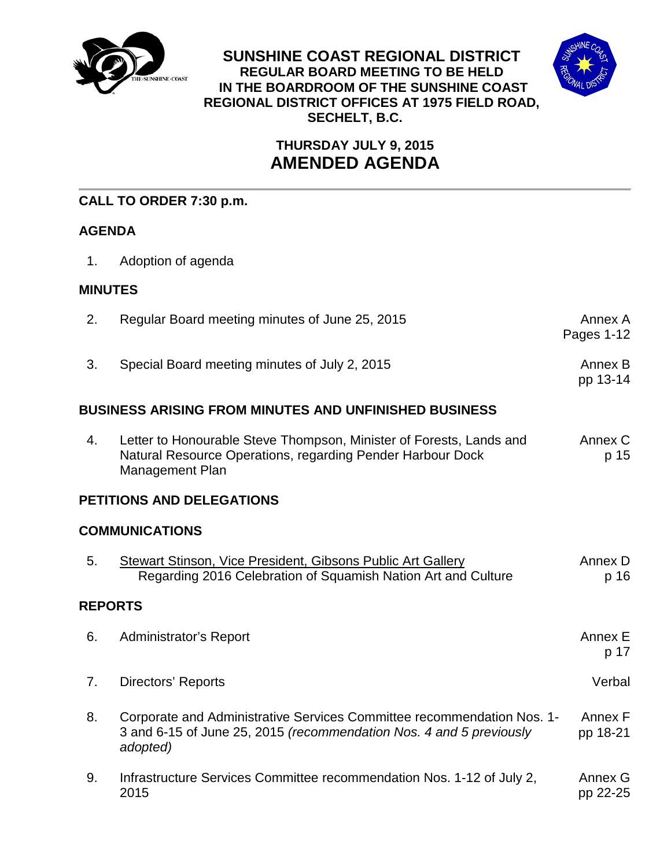

**SUNSHINE COAST REGIONAL DISTRICT REGULAR BOARD MEETING TO BE HELD IN THE BOARDROOM OF THE SUNSHINE COAST REGIONAL DISTRICT OFFICES AT 1975 FIELD ROAD, SECHELT, B.C.**



# **THURSDAY JULY 9, 2015 AMENDED AGENDA**

### **CALL TO ORDER 7:30 p.m.**

## **AGENDA**

1. Adoption of agenda

### **MINUTES**

| 2.                        | Regular Board meeting minutes of June 25, 2015                                                                                                              | Annex A<br>Pages 1-12 |  |  |  |  |  |
|---------------------------|-------------------------------------------------------------------------------------------------------------------------------------------------------------|-----------------------|--|--|--|--|--|
| 3.                        | Special Board meeting minutes of July 2, 2015                                                                                                               | Annex B<br>pp 13-14   |  |  |  |  |  |
|                           | BUSINESS ARISING FROM MINUTES AND UNFINISHED BUSINESS                                                                                                       |                       |  |  |  |  |  |
| 4.                        | Letter to Honourable Steve Thompson, Minister of Forests, Lands and<br>Natural Resource Operations, regarding Pender Harbour Dock<br><b>Management Plan</b> | Annex C<br>p 15       |  |  |  |  |  |
| PETITIONS AND DELEGATIONS |                                                                                                                                                             |                       |  |  |  |  |  |
| <b>COMMUNICATIONS</b>     |                                                                                                                                                             |                       |  |  |  |  |  |
| 5.                        | <b>Stewart Stinson, Vice President, Gibsons Public Art Gallery</b><br>Regarding 2016 Celebration of Squamish Nation Art and Culture                         | Annex D<br>p 16       |  |  |  |  |  |
| <b>REPORTS</b>            |                                                                                                                                                             |                       |  |  |  |  |  |
| 6.                        | <b>Administrator's Report</b>                                                                                                                               | Annex E<br>p 17       |  |  |  |  |  |
| 7.                        | Directors' Reports                                                                                                                                          | Verbal                |  |  |  |  |  |
| 8.                        | Corporate and Administrative Services Committee recommendation Nos. 1-<br>3 and 6-15 of June 25, 2015 (recommendation Nos. 4 and 5 previously<br>adopted)   | Annex F<br>pp 18-21   |  |  |  |  |  |
| 9.                        | Infrastructure Services Committee recommendation Nos. 1-12 of July 2,<br>2015                                                                               | Annex G<br>pp 22-25   |  |  |  |  |  |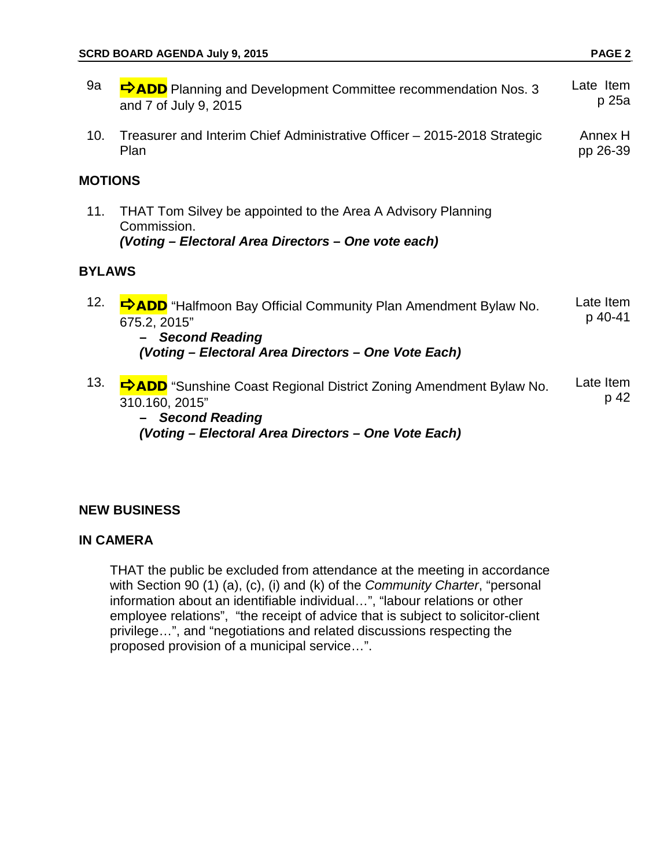| 9a             | <b>DADD</b> Planning and Development Committee recommendation Nos. 3<br>and 7 of July 9, 2015                                                                              | Late Item<br>p 25a   |  |  |  |  |  |
|----------------|----------------------------------------------------------------------------------------------------------------------------------------------------------------------------|----------------------|--|--|--|--|--|
| 10.            | Treasurer and Interim Chief Administrative Officer - 2015-2018 Strategic<br>Plan                                                                                           | Annex H<br>pp 26-39  |  |  |  |  |  |
| <b>MOTIONS</b> |                                                                                                                                                                            |                      |  |  |  |  |  |
| 11.            | THAT Tom Silvey be appointed to the Area A Advisory Planning<br>Commission.<br>(Voting - Electoral Area Directors - One vote each)                                         |                      |  |  |  |  |  |
| <b>BYLAWS</b>  |                                                                                                                                                                            |                      |  |  |  |  |  |
| 12.            | <b>DADD</b> "Halfmoon Bay Official Community Plan Amendment Bylaw No.<br>675.2, 2015"<br><b>Second Reading</b><br>(Voting - Electoral Area Directors - One Vote Each)      | Late Item<br>p 40-41 |  |  |  |  |  |
| 13.            | <b>⇒ADD</b> "Sunshine Coast Regional District Zoning Amendment Bylaw No.<br>310.160, 2015"<br><b>Second Reading</b><br>(Voting - Electoral Area Directors - One Vote Each) | Late Item<br>p 42    |  |  |  |  |  |

### **NEW BUSINESS**

### **IN CAMERA**

THAT the public be excluded from attendance at the meeting in accordance with Section 90 (1) (a), (c), (i) and (k) of the *Community Charter*, "personal information about an identifiable individual…", "labour relations or other employee relations", "the receipt of advice that is subject to solicitor-client privilege…", and "negotiations and related discussions respecting the proposed provision of a municipal service…".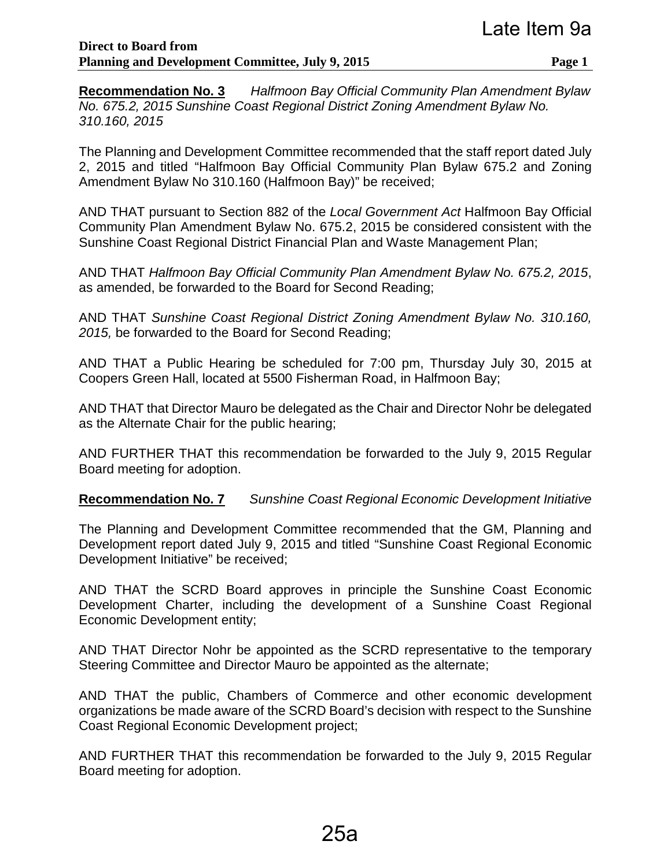**Recommendation No. 3** *Halfmoon Bay Official Community Plan Amendment Bylaw No. 675.2, 2015 Sunshine Coast Regional District Zoning Amendment Bylaw No. 310.160, 2015*

The Planning and Development Committee recommended that the staff report dated July 2, 2015 and titled "Halfmoon Bay Official Community Plan Bylaw 675.2 and Zoning Amendment Bylaw No 310.160 (Halfmoon Bay)" be received;

AND THAT pursuant to Section 882 of the *Local Government Act* Halfmoon Bay Official Community Plan Amendment Bylaw No. 675.2, 2015 be considered consistent with the Sunshine Coast Regional District Financial Plan and Waste Management Plan;

AND THAT *Halfmoon Bay Official Community Plan Amendment Bylaw No. 675.2, 2015*, as amended, be forwarded to the Board for Second Reading;

AND THAT *Sunshine Coast Regional District Zoning Amendment Bylaw No. 310.160, 2015,* be forwarded to the Board for Second Reading;

AND THAT a Public Hearing be scheduled for 7:00 pm, Thursday July 30, 2015 at Coopers Green Hall, located at 5500 Fisherman Road, in Halfmoon Bay;

AND THAT that Director Mauro be delegated as the Chair and Director Nohr be delegated as the Alternate Chair for the public hearing;

AND FURTHER THAT this recommendation be forwarded to the July 9, 2015 Regular Board meeting for adoption.

**Recommendation No. 7** *Sunshine Coast Regional Economic Development Initiative*

The Planning and Development Committee recommended that the GM, Planning and Development report dated July 9, 2015 and titled "Sunshine Coast Regional Economic Development Initiative" be received;

AND THAT the SCRD Board approves in principle the Sunshine Coast Economic Development Charter, including the development of a Sunshine Coast Regional Economic Development entity;

AND THAT Director Nohr be appointed as the SCRD representative to the temporary Steering Committee and Director Mauro be appointed as the alternate;

AND THAT the public, Chambers of Commerce and other economic development organizations be made aware of the SCRD Board's decision with respect to the Sunshine Coast Regional Economic Development project;

AND FURTHER THAT this recommendation be forwarded to the July 9, 2015 Regular Board meeting for adoption.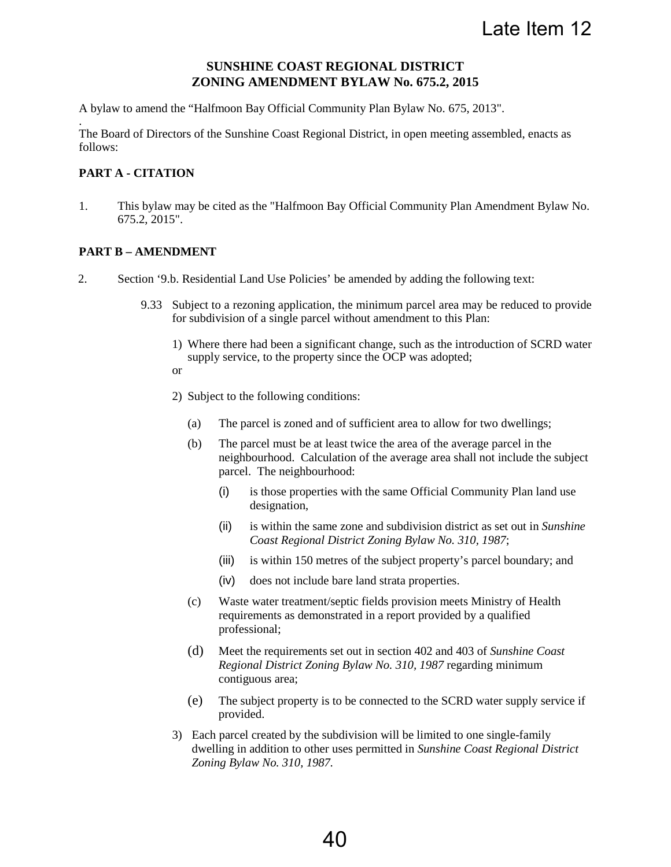#### **SUNSHINE COAST REGIONAL DISTRICT ZONING AMENDMENT BYLAW No. 675.2, 2015**

A bylaw to amend the "Halfmoon Bay Official Community Plan Bylaw No. 675, 2013".

The Board of Directors of the Sunshine Coast Regional District, in open meeting assembled, enacts as follows:

#### **PART A - CITATION**

.

1. This bylaw may be cited as the "Halfmoon Bay Official Community Plan Amendment Bylaw No. 675.2, 2015".

#### **PART B – AMENDMENT**

- 2. Section '9.b. Residential Land Use Policies' be amended by adding the following text:
	- 9.33 Subject to a rezoning application, the minimum parcel area may be reduced to provide for subdivision of a single parcel without amendment to this Plan:
		- 1) Where there had been a significant change, such as the introduction of SCRD water supply service, to the property since the OCP was adopted;
		- or
		- 2) Subject to the following conditions:
			- (a) The parcel is zoned and of sufficient area to allow for two dwellings;
			- (b) The parcel must be at least twice the area of the average parcel in the neighbourhood. Calculation of the average area shall not include the subject parcel. The neighbourhood:
				- (i) is those properties with the same Official Community Plan land use designation,
				- (ii) is within the same zone and subdivision district as set out in *Sunshine Coast Regional District Zoning Bylaw No. 310, 1987*;
				- (iii) is within 150 metres of the subject property's parcel boundary; and
				- (iv) does not include bare land strata properties.
			- (c) Waste water treatment/septic fields provision meets Ministry of Health requirements as demonstrated in a report provided by a qualified professional;
			- (d) Meet the requirements set out in section 402 and 403 of *Sunshine Coast Regional District Zoning Bylaw No. 310, 1987* regarding minimum contiguous area;
			- (e) The subject property is to be connected to the SCRD water supply service if provided.
		- 3) Each parcel created by the subdivision will be limited to one single-family dwelling in addition to other uses permitted in *Sunshine Coast Regional District Zoning Bylaw No. 310, 1987.*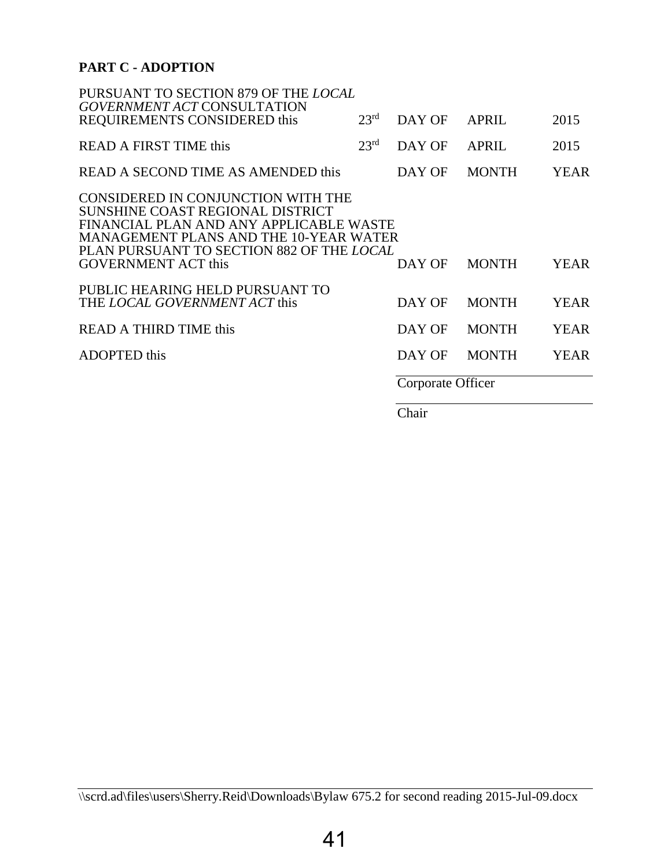### **PART C - ADOPTION**

| PURSUANT TO SECTION 879 OF THE LOCAL<br><b>GOVERNMENT ACT CONSULTATION</b>                                                                                                                               |                  |                   |              |             |
|----------------------------------------------------------------------------------------------------------------------------------------------------------------------------------------------------------|------------------|-------------------|--------------|-------------|
| REQUIREMENTS CONSIDERED this                                                                                                                                                                             | 23 <sup>rd</sup> | DAY OF            | <b>APRIL</b> | 2015        |
| <b>READ A FIRST TIME this</b>                                                                                                                                                                            | 23 <sup>rd</sup> | DAY OF            | <b>APRIL</b> | 2015        |
| READ A SECOND TIME AS AMENDED this                                                                                                                                                                       |                  | DAY OF            | <b>MONTH</b> | <b>YEAR</b> |
| CONSIDERED IN CONJUNCTION WITH THE<br>SUNSHINE COAST REGIONAL DISTRICT<br>FINANCIAL PLAN AND ANY APPLICABLE WASTE<br>MANAGEMENT PLANS AND THE 10-YEAR WATER<br>PLAN PURSUANT TO SECTION 882 OF THE LOCAL |                  |                   |              |             |
| <b>GOVERNMENT ACT this</b>                                                                                                                                                                               |                  | DAY OF            | <b>MONTH</b> | <b>YEAR</b> |
| PUBLIC HEARING HELD PURSUANT TO<br>THE LOCAL GOVERNMENT ACT this                                                                                                                                         |                  | DAY OF            | <b>MONTH</b> | <b>YEAR</b> |
| <b>READ A THIRD TIME this</b>                                                                                                                                                                            |                  | DAY OF            | <b>MONTH</b> | <b>YEAR</b> |
| <b>ADOPTED</b> this                                                                                                                                                                                      |                  | DAY OF            | <b>MONTH</b> | <b>YEAR</b> |
|                                                                                                                                                                                                          |                  | Corporate Officer |              |             |
|                                                                                                                                                                                                          |                  |                   |              |             |

Chair

<sup>\\</sup>scrd.ad\files\users\Sherry.Reid\Downloads\Bylaw 675.2 for second reading 2015-Jul-09.docx